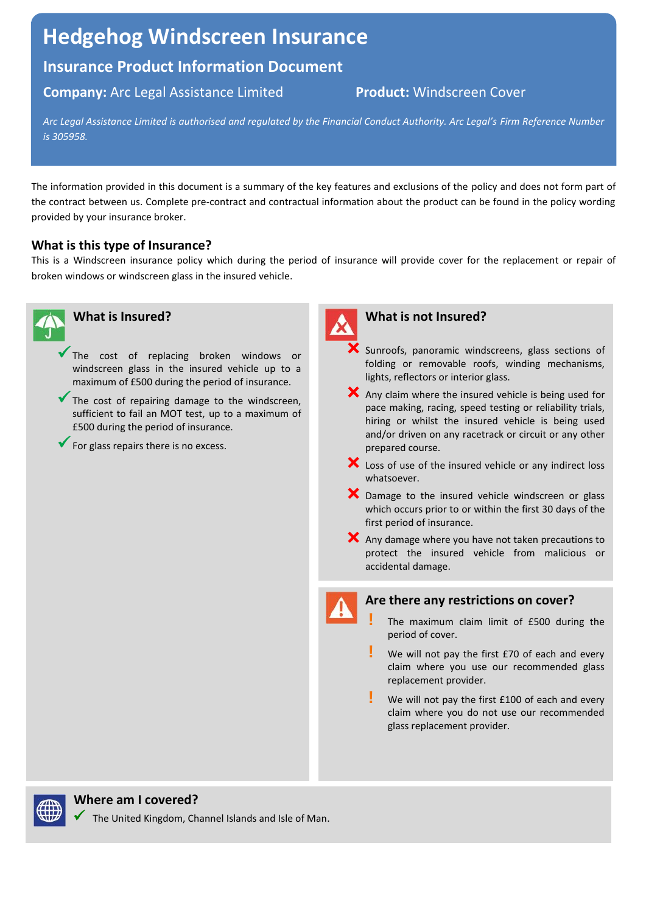# **Hedgehog Windscreen Insurance**

## **Insurance Product Information Document**

### **Company:** Arc Legal Assistance Limited **Product:** Windscreen Cover

*Arc Legal Assistance Limited is authorised and regulated by the Financial Conduct Authority. Arc Legal's Firm Reference Number is 305958.*

The information provided in this document is a summary of the key features and exclusions of the policy and does not form part of the contract between us. Complete pre-contract and contractual information about the product can be found in the policy wording provided by your insurance broker.

#### **What is this type of Insurance?**

This is a Windscreen insurance policy which during the period of insurance will provide cover for the replacement or repair of broken windows or windscreen glass in the insured vehicle.





#### **What is not Insured?**

- Sunroofs, panoramic windscreens, glass sections of folding or removable roofs, winding mechanisms, lights, reflectors or interior glass.
- $\mathsf{\times}$  Any claim where the insured vehicle is being used for pace making, racing, speed testing or reliability trials, hiring or whilst the insured vehicle is being used and/or driven on any racetrack or circuit or any other prepared course.
- X Loss of use of the insured vehicle or any indirect loss whatsoever.
- X Damage to the insured vehicle windscreen or glass which occurs prior to or within the first 30 days of the first period of insurance.
- X Any damage where you have not taken precautions to protect the insured vehicle from malicious or accidental damage.

#### **Are there any restrictions on cover?**

- **!** The maximum claim limit of £500 during the period of cover.
- **!** We will not pay the first £70 of each and every claim where you use our recommended glass replacement provider.
- **!** We will not pay the first £100 of each and every claim where you do not use our recommended glass replacement provider.



#### **Where am I covered?**

The United Kingdom, Channel Islands and Isle of Man.